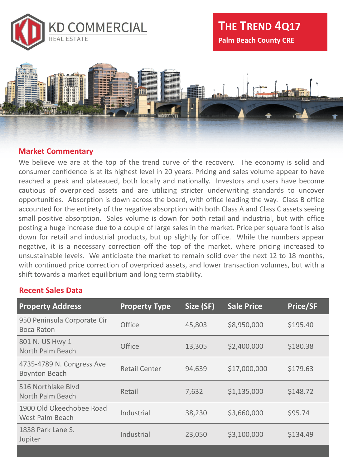



## **Market Commentary**

We believe we are at the top of the trend curve of the recovery. The economy is solid and consumer confidence is at its highest level in 20 years. Pricing and sales volume appear to have reached a peak and plateaued, both locally and nationally. Investors and users have become cautious of overpriced assets and are utilizing stricter underwriting standards to uncover opportunities. Absorption is down across the board, with office leading the way. Class B office accounted for the entirety of the negative absorption with both Class A and Class C assets seeing small positive absorption. Sales volume is down for both retail and industrial, but with office posting a huge increase due to a couple of large sales in the market. Price per square foot is also down for retail and industrial products, but up slightly for office. While the numbers appear negative, it is a necessary correction off the top of the market, where pricing increased to unsustainable levels. We anticipate the market to remain solid over the next 12 to 18 months, with continued price correction of overpriced assets, and lower transaction volumes, but with a shift towards a market equilibrium and long term stability.

## **Recent Sales Data**

| <b>Property Address</b>                            | <b>Property Type</b> | Size (SF) | <b>Sale Price</b> | <b>Price/SF</b> |
|----------------------------------------------------|----------------------|-----------|-------------------|-----------------|
| 950 Peninsula Corporate Cir<br><b>Boca Raton</b>   | <b>Office</b>        | 45,803    | \$8,950,000       | \$195.40        |
| 801 N. US Hwy 1<br>North Palm Beach                | <b>Office</b>        | 13,305    | \$2,400,000       | \$180.38        |
| 4735-4789 N. Congress Ave<br><b>Boynton Beach</b>  | <b>Retail Center</b> | 94,639    | \$17,000,000      | \$179.63        |
| 516 Northlake Blvd<br>North Palm Beach             | Retail               | 7,632     | \$1,135,000       | \$148.72        |
| 1900 Old Okeechobee Road<br><b>West Palm Beach</b> | Industrial           | 38,230    | \$3,660,000       | \$95.74         |
| 1838 Park Lane S.<br>Jupiter                       | Industrial           | 23,050    | \$3,100,000       | \$134.49        |